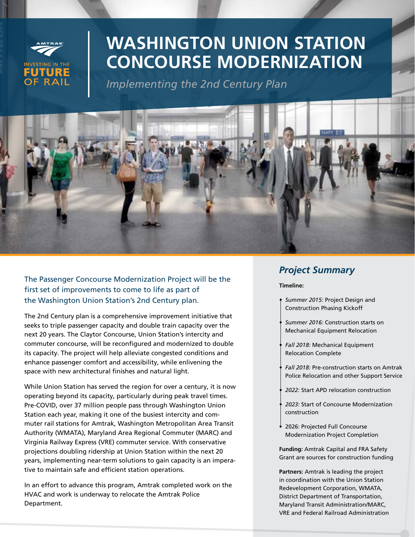

# **WASHINGTON UNION STATION CONCOURSE MODERNIZATION**

*Implementing the 2nd Century Plan*



The Passenger Concourse Modernization Project will be the first set of improvements to come to life as part of the Washington Union Station's 2nd Century plan.

The 2nd Century plan is a comprehensive improvement initiative that seeks to triple passenger capacity and double train capacity over the next 20 years. The Claytor Concourse, Union Station's intercity and commuter concourse, will be reconfigured and modernized to double its capacity. The project will help alleviate congested conditions and enhance passenger comfort and accessibility, while enlivening the space with new architectural finishes and natural light.

While Union Station has served the region for over a century, it is now operating beyond its capacity, particularly during peak travel times. Pre-COVID, over 37 million people pass through Washington Union Station each year, making it one of the busiest intercity and commuter rail stations for Amtrak, Washington Metropolitan Area Transit Authority (WMATA), Maryland Area Regional Commuter (MARC) and Virginia Railway Express (VRE) commuter service. With conservative projections doubling ridership at Union Station within the next 20 years, implementing near-term solutions to gain capacity is an imperative to maintain safe and efficient station operations.

In an effort to advance this program, Amtrak completed work on the HVAC and work is underway to relocate the Amtrak Police Department.

## *Project Summary*

#### **Timeline:**

- *• Summer 2015:* Project Design and Construction Phasing Kickoff
- *• Summer 2016:* Construction starts on Mechanical Equipment Relocation
- *• Fall 2018:* Mechanical Equipment Relocation Complete
- *• Fall 2018:* Pre-construction starts on Amtrak Police Relocation and other Support Service
- *• 2022:* Start APD relocation construction
- *• 2023:* Start of Concourse Modernization construction
- 2026: Projected Full Concourse Modernization Project Completion

**Funding:** Amtrak Capital and FRA Safety Grant are sources for construction funding

**Partners:** Amtrak is leading the project in coordination with the Union Station Redevelopment Corporation, WMATA, District Department of Transportation, Maryland Transit Administration/MARC, VRE and Federal Railroad Administration